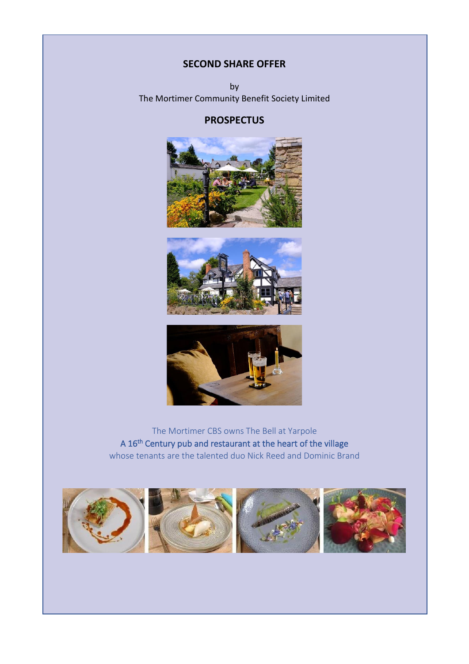### **SECOND SHARE OFFER**

by The Mortimer Community Benefit Society Limited

### **PROSPECTUS**







The Mortimer CBS owns The Bell at Yarpole A 16<sup>th</sup> Century pub and restaurant at the heart of the village whose tenants are the talented duo Nick Reed and Dominic Brand

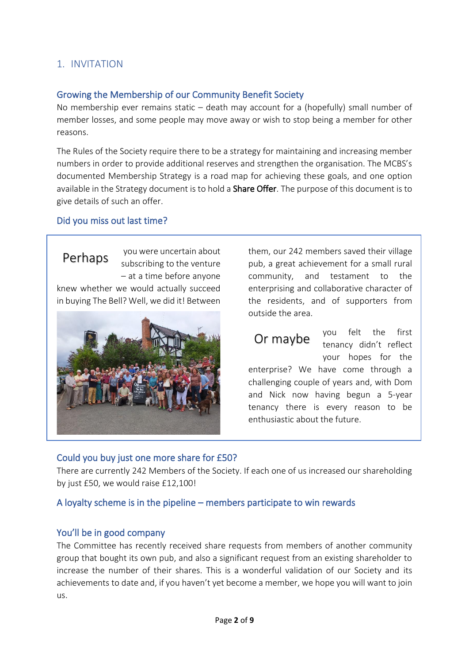# 1. INVITATION

### Growing the Membership of our Community Benefit Society

No membership ever remains static – death may account for a (hopefully) small number of member losses, and some people may move away or wish to stop being a member for other reasons.

The Rules of the Society require there to be a strategy for maintaining and increasing member numbers in order to provide additional reserves and strengthen the organisation. The MCBS's documented Membership Strategy is a road map for achieving these goals, and one option available in the Strategy document is to hold a **Share Offer**. The purpose of this document is to give details of such an offer.

#### Did you miss out last time?

# Perhaps

you were uncertain about subscribing to the venture – at a time before anyone

knew whether we would actually succeed in buying The Bell? Well, we did it! Between



them, our 242 members saved their village pub, a great achievement for a small rural community, and testament to the enterprising and collaborative character of the residents, and of supporters from outside the area.

you felt the first tenancy didn't reflect your hopes for the enterprise? We have come through a challenging couple of years and, with Dom and Nick now having begun a 5-year tenancy there is every reason to be enthusiastic about the future. Or maybe

### Could you buy just one more share for £50?

There are currently 242 Members of the Society. If each one of us increased our shareholding by just £50, we would raise £12,100!

### A loyalty scheme is in the pipeline – members participate to win rewards

### You'll be in good company

The Committee has recently received share requests from members of another community group that bought its own pub, and also a significant request from an existing shareholder to increase the number of their shares. This is a wonderful validation of our Society and its achievements to date and, if you haven't yet become a member, we hope you will want to join us.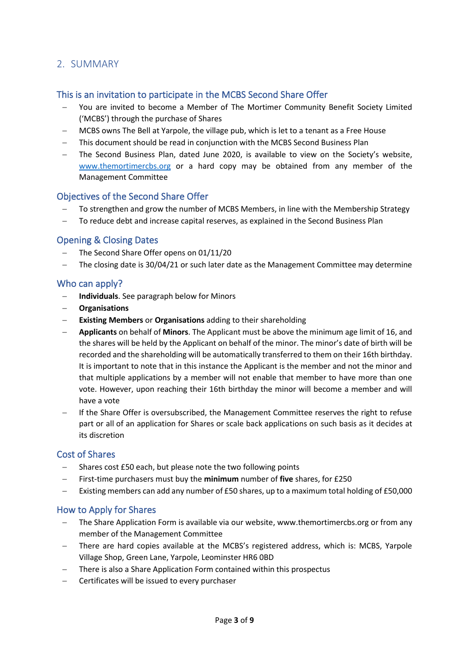### 2. SUMMARY

#### This is an invitation to participate in the MCBS Second Share Offer

- You are invited to become a Member of The Mortimer Community Benefit Society Limited ('MCBS') through the purchase of Shares
- − MCBS owns The Bell at Yarpole, the village pub, which is let to a tenant as a Free House
- − This document should be read in conjunction with the MCBS Second Business Plan
- The Second Business Plan, dated June 2020, is available to view on the Society's website, [www.themortimercbs.org](http://www.themortimercbs.org/) or a hard copy may be obtained from any member of the Management Committee

#### Objectives of the Second Share Offer

- To strengthen and grow the number of MCBS Members, in line with the Membership Strategy
- − To reduce debt and increase capital reserves, as explained in the Second Business Plan

### Opening & Closing Dates

- The Second Share Offer opens on 01/11/20
- The closing date is 30/04/21 or such later date as the Management Committee may determine

#### Who can apply?

- − **Individuals**. See paragraph below for Minors
- − **Organisations**
- **Existing Members** or **Organisations** adding to their shareholding
- − **Applicants** on behalf of **Minors**. The Applicant must be above the minimum age limit of 16, and the shares will be held by the Applicant on behalf of the minor. The minor's date of birth will be recorded and the shareholding will be automatically transferred to them on their 16th birthday. It is important to note that in this instance the Applicant is the member and not the minor and that multiple applications by a member will not enable that member to have more than one vote. However, upon reaching their 16th birthday the minor will become a member and will have a vote
- − If the Share Offer is oversubscribed, the Management Committee reserves the right to refuse part or all of an application for Shares or scale back applications on such basis as it decides at its discretion

#### Cost of Shares

- Shares cost £50 each, but please note the two following points
- − First-time purchasers must buy the **minimum** number of **five** shares, for £250
- Existing members can add any number of £50 shares, up to a maximum total holding of £50,000

#### How to Apply for Shares

- The Share Application Form is available via our website, [www.themortimercbs.org](http://www.themortimercbs.org/) or from any member of the Management Committee
- There are hard copies available at the MCBS's registered address, which is: MCBS, Yarpole Village Shop, Green Lane, Yarpole, Leominster HR6 0BD
- There is also a Share Application Form contained within this prospectus
- − Certificates will be issued to every purchaser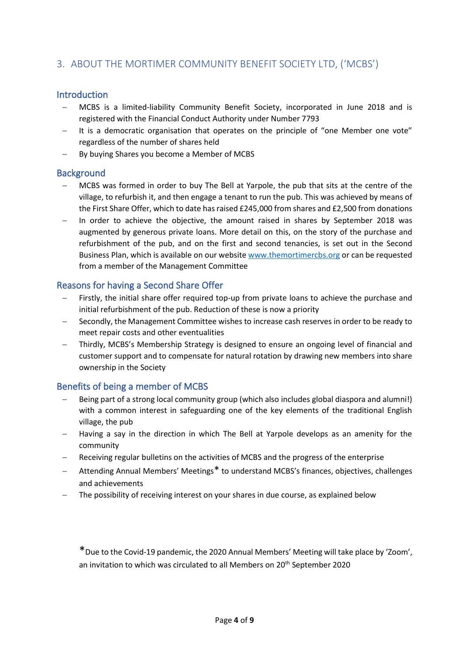# 3. ABOUT THE MORTIMER COMMUNITY BENEFIT SOCIETY LTD, ('MCBS')

### Introduction

- − MCBS is a limited-liability Community Benefit Society, incorporated in June 2018 and is registered with the Financial Conduct Authority under Number 7793
- − It is a democratic organisation that operates on the principle of "one Member one vote" regardless of the number of shares held
- − By buying Shares you become a Member of MCBS

### **Background**

- − MCBS was formed in order to buy The Bell at Yarpole, the pub that sits at the centre of the village, to refurbish it, and then engage a tenant to run the pub. This was achieved by means of the First Share Offer, which to date has raised £245,000 from shares and £2,500 from donations
- In order to achieve the objective, the amount raised in shares by September 2018 was augmented by generous private loans. More detail on this, on the story of the purchase and refurbishment of the pub, and on the first and second tenancies, is set out in the Second Business Plan, which is available on our website [www.themortimercbs.org](http://www.themortimercbs.org/) or can be requested from a member of the Management Committee

### Reasons for having a Second Share Offer

- − Firstly, the initial share offer required top-up from private loans to achieve the purchase and initial refurbishment of the pub. Reduction of these is now a priority
- Secondly, the Management Committee wishes to increase cash reserves in order to be ready to meet repair costs and other eventualities
- Thirdly, MCBS's Membership Strategy is designed to ensure an ongoing level of financial and customer support and to compensate for natural rotation by drawing new members into share ownership in the Society

### Benefits of being a member of MCBS

- − Being part of a strong local community group (which also includes global diaspora and alumni!) with a common interest in safeguarding one of the key elements of the traditional English village, the pub
- − Having a say in the direction in which The Bell at Yarpole develops as an amenity for the community
- Receiving regular bulletins on the activities of MCBS and the progress of the enterprise
- − Attending Annual Members' Meetings\* to understand MCBS's finances, objectives, challenges and achievements
- The possibility of receiving interest on your shares in due course, as explained below

\*Due to the Covid-19 pandemic, the 2020 Annual Members' Meeting will take place by 'Zoom', an invitation to which was circulated to all Members on 20<sup>th</sup> September 2020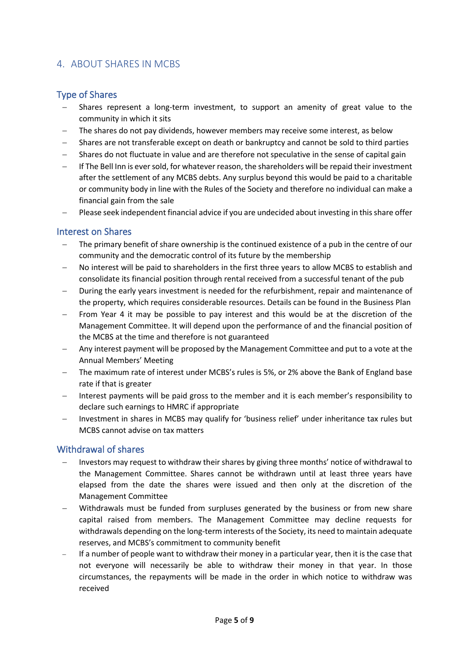# 4. ABOUT SHARES IN MCBS

### Type of Shares

- Shares represent a long-term investment, to support an amenity of great value to the community in which it sits
- The shares do not pay dividends, however members may receive some interest, as below
- Shares are not transferable except on death or bankruptcy and cannot be sold to third parties
- Shares do not fluctuate in value and are therefore not speculative in the sense of capital gain
- If The Bell Inn is ever sold, for whatever reason, the shareholders will be repaid their investment after the settlement of any MCBS debts. Any surplus beyond this would be paid to a charitable or community body in line with the Rules of the Society and therefore no individual can make a financial gain from the sale
- − Please seek independent financial advice if you are undecided about investing in this share offer

#### Interest on Shares

- The primary benefit of share ownership is the continued existence of a pub in the centre of our community and the democratic control of its future by the membership
- − No interest will be paid to shareholders in the first three years to allow MCBS to establish and consolidate its financial position through rental received from a successful tenant of the pub
- During the early years investment is needed for the refurbishment, repair and maintenance of the property, which requires considerable resources. Details can be found in the Business Plan
- From Year 4 it may be possible to pay interest and this would be at the discretion of the Management Committee. It will depend upon the performance of and the financial position of the MCBS at the time and therefore is not guaranteed
- Any interest payment will be proposed by the Management Committee and put to a vote at the Annual Members' Meeting
- The maximum rate of interest under MCBS's rules is 5%, or 2% above the Bank of England base rate if that is greater
- Interest payments will be paid gross to the member and it is each member's responsibility to declare such earnings to HMRC if appropriate
- − Investment in shares in MCBS may qualify for 'business relief' under inheritance tax rules but MCBS cannot advise on tax matters

### Withdrawal of shares

- − Investors may request to withdraw their shares by giving three months' notice of withdrawal to the Management Committee. Shares cannot be withdrawn until at least three years have elapsed from the date the shares were issued and then only at the discretion of the Management Committee
- Withdrawals must be funded from surpluses generated by the business or from new share capital raised from members. The Management Committee may decline requests for withdrawals depending on the long-term interests of the Society, its need to maintain adequate reserves, and MCBS's commitment to community benefit
- − If a number of people want to withdraw their money in a particular year, then it is the case that not everyone will necessarily be able to withdraw their money in that year. In those circumstances, the repayments will be made in the order in which notice to withdraw was received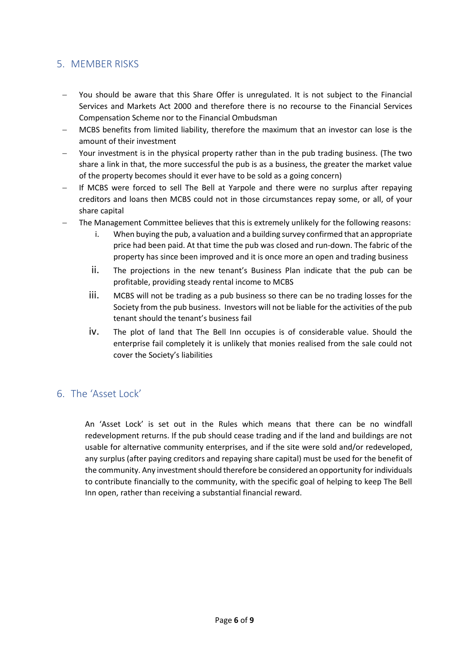# 5. MEMBER RISKS

- − You should be aware that this Share Offer is unregulated. It is not subject to the Financial Services and Markets Act 2000 and therefore there is no recourse to the Financial Services Compensation Scheme nor to the Financial Ombudsman
- − MCBS benefits from limited liability, therefore the maximum that an investor can lose is the amount of their investment
- Your investment is in the physical property rather than in the pub trading business. (The two share a link in that, the more successful the pub is as a business, the greater the market value of the property becomes should it ever have to be sold as a going concern)
- − If MCBS were forced to sell The Bell at Yarpole and there were no surplus after repaying creditors and loans then MCBS could not in those circumstances repay some, or all, of your share capital
- The Management Committee believes that this is extremely unlikely for the following reasons:
	- i. When buying the pub, a valuation and a building survey confirmed that an appropriate price had been paid. At that time the pub was closed and run-down. The fabric of the property has since been improved and it is once more an open and trading business
	- ii. The projections in the new tenant's Business Plan indicate that the pub can be profitable, providing steady rental income to MCBS
	- iii. MCBS will not be trading as a pub business so there can be no trading losses for the Society from the pub business. Investors will not be liable for the activities of the pub tenant should the tenant's business fail
	- iv. The plot of land that The Bell Inn occupies is of considerable value. Should the enterprise fail completely it is unlikely that monies realised from the sale could not cover the Society's liabilities

# 6. The 'Asset Lock'

An 'Asset Lock' is set out in the Rules which means that there can be no windfall redevelopment returns. If the pub should cease trading and if the land and buildings are not usable for alternative community enterprises, and if the site were sold and/or redeveloped, any surplus (after paying creditors and repaying share capital) must be used for the benefit of the community. Any investment should therefore be considered an opportunity for individuals to contribute financially to the community, with the specific goal of helping to keep The Bell Inn open, rather than receiving a substantial financial reward.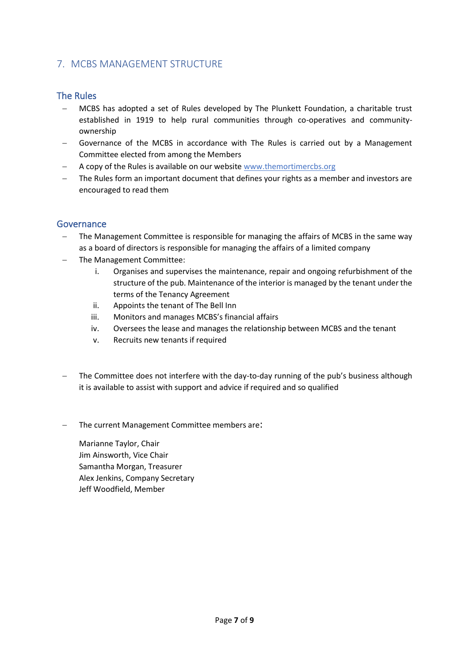# 7. MCBS MANAGEMENT STRUCTURE

#### The Rules

- − MCBS has adopted a set of Rules developed by The Plunkett Foundation, a charitable trust established in 1919 to help rural communities through co-operatives and communityownership
- Governance of the MCBS in accordance with The Rules is carried out by a Management Committee elected from among the Members
- − A copy of the Rules is available on our website [www.themortimercbs.org](http://www.themortimercbs.org/)
- The Rules form an important document that defines your rights as a member and investors are encouraged to read them

### Governance

- The Management Committee is responsible for managing the affairs of MCBS in the same way as a board of directors is responsible for managing the affairs of a limited company
- − The Management Committee:
	- i. Organises and supervises the maintenance, repair and ongoing refurbishment of the structure of the pub. Maintenance of the interior is managed by the tenant under the terms of the Tenancy Agreement
	- ii. Appoints the tenant of The Bell Inn
	- iii. Monitors and manages MCBS's financial affairs
	- iv. Oversees the lease and manages the relationship between MCBS and the tenant
	- v. Recruits new tenants if required
- The Committee does not interfere with the day-to-day running of the pub's business although it is available to assist with support and advice if required and so qualified
- − The current Management Committee members are:

Marianne Taylor, Chair Jim Ainsworth, Vice Chair Samantha Morgan, Treasurer Alex Jenkins, Company Secretary Jeff Woodfield, Member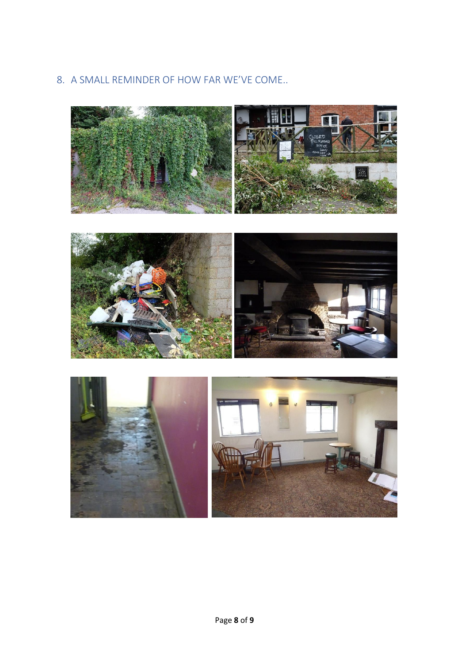# 8. A SMALL REMINDER OF HOW FAR WE'VE COME..